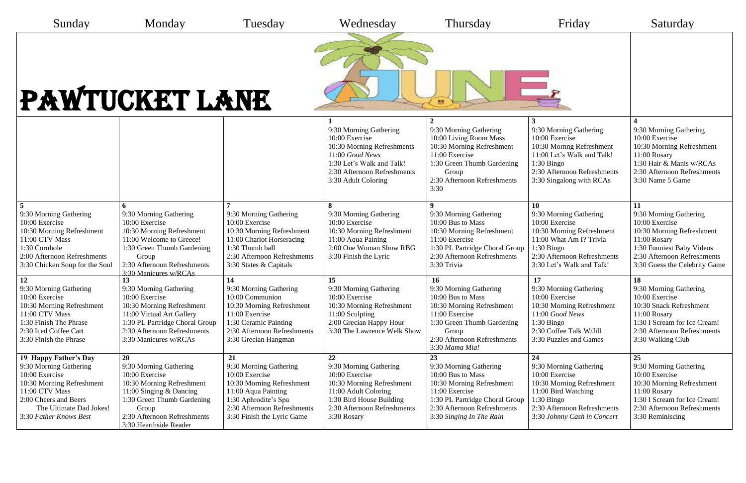| Sunday                                                                                                                                                                                         | Monday                                                                                                                                                                                                 | Tuesday                                                                                                                                                                                 | Wednesday                                                                                                                                                                     | Thursday                                                                                                                                                                                      | Friday                                                                                                                                                                             | Saturday                                                                                                                                                                                 |  |  |  |
|------------------------------------------------------------------------------------------------------------------------------------------------------------------------------------------------|--------------------------------------------------------------------------------------------------------------------------------------------------------------------------------------------------------|-----------------------------------------------------------------------------------------------------------------------------------------------------------------------------------------|-------------------------------------------------------------------------------------------------------------------------------------------------------------------------------|-----------------------------------------------------------------------------------------------------------------------------------------------------------------------------------------------|------------------------------------------------------------------------------------------------------------------------------------------------------------------------------------|------------------------------------------------------------------------------------------------------------------------------------------------------------------------------------------|--|--|--|
| PAWTUCKET LANE<br>$\approx$                                                                                                                                                                    |                                                                                                                                                                                                        |                                                                                                                                                                                         |                                                                                                                                                                               |                                                                                                                                                                                               |                                                                                                                                                                                    |                                                                                                                                                                                          |  |  |  |
|                                                                                                                                                                                                |                                                                                                                                                                                                        |                                                                                                                                                                                         | 9:30 Morning Gathering<br>10:00 Exercise<br>10:30 Morning Refreshments<br>11:00 Good News<br>1:30 Let's Walk and Talk!<br>2:30 Afternoon Refreshments<br>3:30 Adult Coloring  | 9:30 Morning Gathering<br>10:00 Living Room Mass<br>10:30 Morning Refreshment<br>11:00 Exercise<br>1:30 Green Thumb Gardening<br>Group<br>2:30 Afternoon Refreshments<br>3:30                 | 9:30 Morning Gathering<br>10:00 Exercise<br>10:30 Mornng Refreshment<br>11:00 Let's Walk and Talk!<br>$1:30$ Bingo<br>2:30 Afternoon Refreshments<br>3:30 Singalong with RCAs      | 9:30 Morning Gathering<br>10:00 Exercise<br>10:30 Morning Refreshment<br>11:00 Rosary<br>1:30 Hair & Manis w/RCAs<br>2:30 Afternoon Refreshments<br>3:30 Name 5 Game                     |  |  |  |
| 9:30 Morning Gathering<br>10:00 Exercise<br>10:30 Morning Refreshment<br>11:00 CTV Mass<br>1:30 Cornhole<br>2:00 Afternoon Refreshments<br>3:30 Chicken Soup for the Soul                      | 9:30 Morning Gathering<br>10:00 Exercise<br>10:30 Morning Refreshment<br>11:00 Welcome to Greece!<br>1:30 Green Thumb Gardening<br>Group<br>2:30 Afternoon Refreshments<br>3:30 Manicures w/RCAs       | 9:30 Morning Gathering<br>10:00 Exercise<br>10:30 Morning Refreshment<br>11:00 Chariot Horseracing<br>1:30 Thumb ball<br>2:30 Afternoon Refreshments<br>3:30 States & Capitals          | 9:30 Morning Gathering<br>10:00 Exercise<br>10:30 Morning Refreshment<br>11:00 Aqua Paining<br>2:00 One Woman Show RBG<br>3:30 Finish the Lyric                               | 9:30 Morning Gathering<br>10:00 Bus to Mass<br>10:30 Morning Refreshment<br>11:00 Exercise<br>1:30 PL Partridge Choral Group<br>2:30 Afternoon Refreshments<br>3:30 Trivia                    | 10<br>9:30 Morning Gathering<br>10:00 Exercise<br>10:30 Morning Refreshment<br>11:00 What Am I? Trivia<br>$1:30$ Bingo<br>2:30 Afternoon Refreshments<br>3:30 Let's Walk and Talk! | 11<br>9:30 Morning Gathering<br>10:00 Exercise<br>10:30 Morning Refreshment<br>11:00 Rosary<br>1:30 Funniest Baby Videos<br>2:30 Afternoon Refreshments<br>3:30 Guess the Celebrity Game |  |  |  |
| 12<br>9:30 Morning Gathering<br>10:00 Exercise<br>10:30 Morning Refreshment<br>11:00 CTV Mass<br>1:30 Finish The Phrase<br>2:30 Iced Coffee Cart<br>3:30 Finish the Phrase                     | 13<br>9:30 Morning Gathering<br>10:00 Exercise<br>10:30 Morning Refreshment<br>11:00 Virtual Art Gallery<br>1:30 PL Partridge Choral Group<br>2:30 Afternoon Refreshments<br>3:30 Manicures w/RCAs     | 14<br>9:30 Morning Gathering<br>10:00 Communion<br>10:30 Morning Refreshment<br>11:00 Exercise<br>1:30 Ceramic Painting<br>2:30 Afternoon Refreshments<br>3:30 Grecian Hangman          | 15<br>9:30 Morning Gathering<br>10:00 Exercise<br>10:30 Morning Refreshment<br>11:00 Sculpting<br>2:00 Grecian Happy Hour<br>3:30 The Lawrence Welk Show                      | 16<br>9:30 Morning Gathering<br>10:00 Bus to Mass<br>10:30 Morning Refreshment<br>11:00 Exercise<br>1:30 Green Thumb Gardening<br>Group<br>2:30 Afternoon Refreshments<br>3:30 Mama Mia!      | 17<br>9:30 Morning Gathering<br>10:00 Exercise<br>10:30 Morning Refreshment<br>11:00 Good News<br>$1:30$ Bingo<br>2:30 Coffee Talk W/Jill<br>3:30 Puzzles and Games                | 18<br>9:30 Morning Gathering<br>10:00 Exercise<br>10:30 Snack Refreshment<br>11:00 Rosary<br>1:30 I Scream for Ice Cream!<br>2:30 Afternoon Refreshments<br>3:30 Walking Club            |  |  |  |
| 19 Happy Father's Day<br>9:30 Morning Gathering<br>10:00 Exercise<br>10:30 Morning Refreshment<br>11:00 CTV Mass<br>2:00 Cheers and Beers<br>The Ultimate Dad Jokes!<br>3:30 Father Knows Best | 20<br>9:30 Morning Gathering<br>10:00 Exercise<br>10:30 Morning Refreshment<br>11:00 Singing & Dancing<br>1:30 Green Thumb Gardening<br>Group<br>2:30 Afternoon Refreshments<br>3:30 Hearthside Reader | 21<br>9:30 Morning Gathering<br>10:00 Exercise<br>10:30 Morning Refreshment<br>11:00 Aqua Painting<br>1:30 Aphrodite's Spa<br>2:30 Afternoon Refreshments<br>3:30 Finish the Lyric Game | 22<br>9:30 Morning Gathering<br>10:00 Exercise<br>10:30 Morning Refreshment<br>11:00 Adult Coloring<br>1:30 Bird House Building<br>2:30 Afternoon Refreshments<br>3:30 Rosary | 23<br>9:30 Morning Gathering<br>10:00 Bus to Mass<br>10:30 Morning Refreshment<br>11:00 Exercise<br>1:30 PL Partridge Choral Group<br>2:30 Afternoon Refreshments<br>3:30 Singing In The Rain | 24<br>9:30 Morning Gathering<br>10:00 Exercise<br>10:30 Morning Refreshment<br>11:00 Bird Watching<br>$1:30$ Bingo<br>2:30 Afternoon Refreshments<br>3:30 Johnny Cash in Concert   | 25<br>9:30 Morning Gathering<br>10:00 Exercise<br>10:30 Morning Refreshment<br>11:00 Rosary<br>1:30 I Scream for Ice Cream!<br>2:30 Afternoon Refreshments<br>3:30 Reminiscing           |  |  |  |